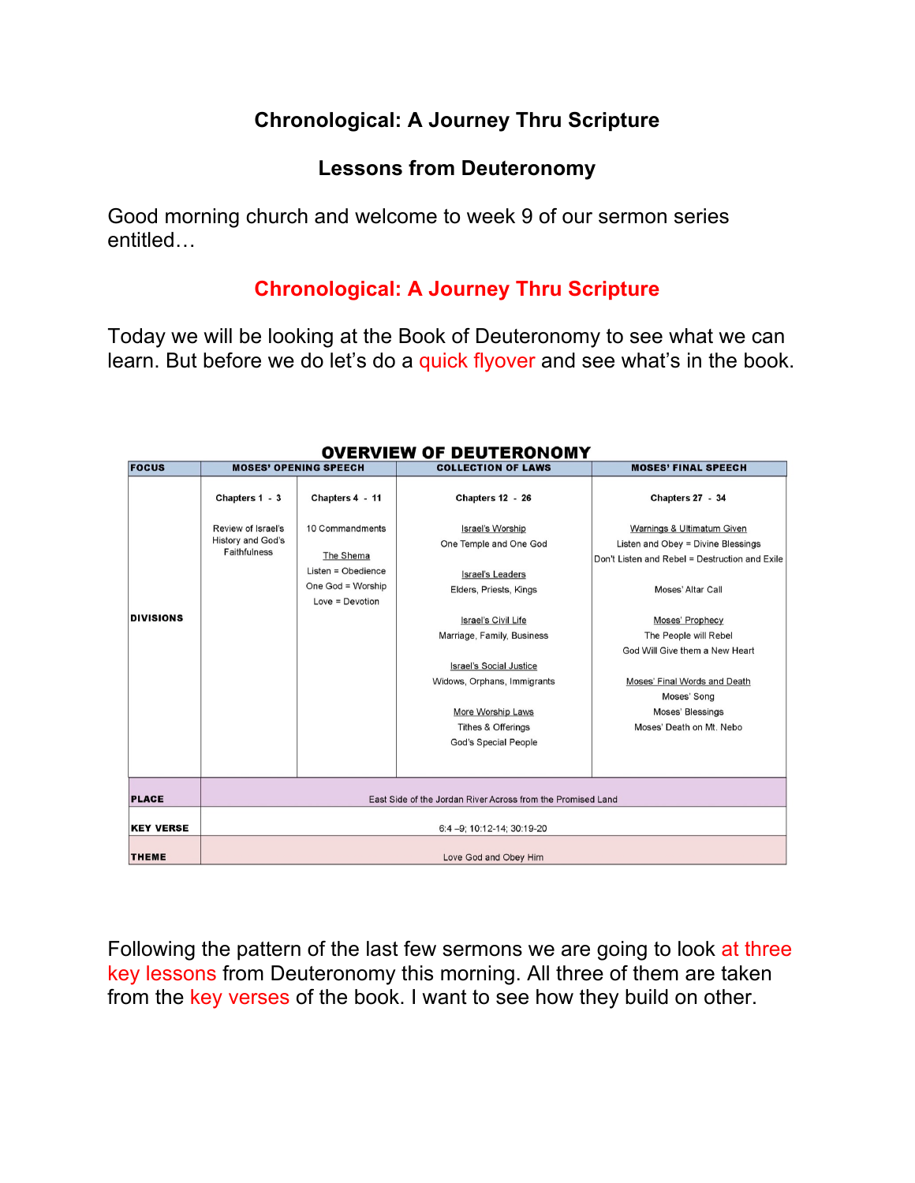## **Chronological: A Journey Thru Scripture**

### **Lessons from Deuteronomy**

Good morning church and welcome to week 9 of our sermon series entitled…

## **Chronological: A Journey Thru Scripture**

Today we will be looking at the Book of Deuteronomy to see what we can learn. But before we do let's do a quick flyover and see what's in the book.

| <b>FOCUS</b>     | <b>MOSES' OPENING SPEECH</b>                                          |                                                                                              | <b>COLLECTION OF LAWS</b>                                                                                                                                                                                                                                                                                  | <b>MOSES' FINAL SPEECH</b>                                                                                                                                                                                                                                                                                           |
|------------------|-----------------------------------------------------------------------|----------------------------------------------------------------------------------------------|------------------------------------------------------------------------------------------------------------------------------------------------------------------------------------------------------------------------------------------------------------------------------------------------------------|----------------------------------------------------------------------------------------------------------------------------------------------------------------------------------------------------------------------------------------------------------------------------------------------------------------------|
|                  | Chapters 1 - 3                                                        | Chapters 4 - 11                                                                              | <b>Chapters 12 - 26</b>                                                                                                                                                                                                                                                                                    | Chapters 27 - 34                                                                                                                                                                                                                                                                                                     |
| <b>DIVISIONS</b> | Review of Israel's<br><b>History and God's</b><br><b>Faithfulness</b> | 10 Commandments<br>The Shema<br>Listen = Obedience<br>One God = Worship<br>$Love = Devotion$ | Israel's Worship<br>One Temple and One God<br><b>Israel's Leaders</b><br>Elders, Priests, Kings<br>Israel's Civil Life<br>Marriage, Family, Business<br><b>Israel's Social Justice</b><br>Widows, Orphans, Immigrants<br>More Worship Laws<br><b>Tithes &amp; Offerings</b><br><b>God's Special People</b> | Warnings & Ultimatum Given<br>Listen and Obey = Divine Blessings<br>Don't Listen and Rebel = Destruction and Exile<br>Moses' Altar Call<br>Moses' Prophecy<br>The People will Rebel<br>God Will Give them a New Heart<br>Moses' Final Words and Death<br>Moses' Song<br>Moses' Blessings<br>Moses' Death on Mt. Nebo |
| <b>PLACE</b>     | East Side of the Jordan River Across from the Promised Land           |                                                                                              |                                                                                                                                                                                                                                                                                                            |                                                                                                                                                                                                                                                                                                                      |
| <b>KEY VERSE</b> | 6:4-9; 10:12-14; 30:19-20                                             |                                                                                              |                                                                                                                                                                                                                                                                                                            |                                                                                                                                                                                                                                                                                                                      |
| <b>THEME</b>     | Love God and Obey Him                                                 |                                                                                              |                                                                                                                                                                                                                                                                                                            |                                                                                                                                                                                                                                                                                                                      |

#### **OVERVIEW OF DEUTERONOMY**

Following the pattern of the last few sermons we are going to look at three key lessons from Deuteronomy this morning. All three of them are taken from the key verses of the book. I want to see how they build on other.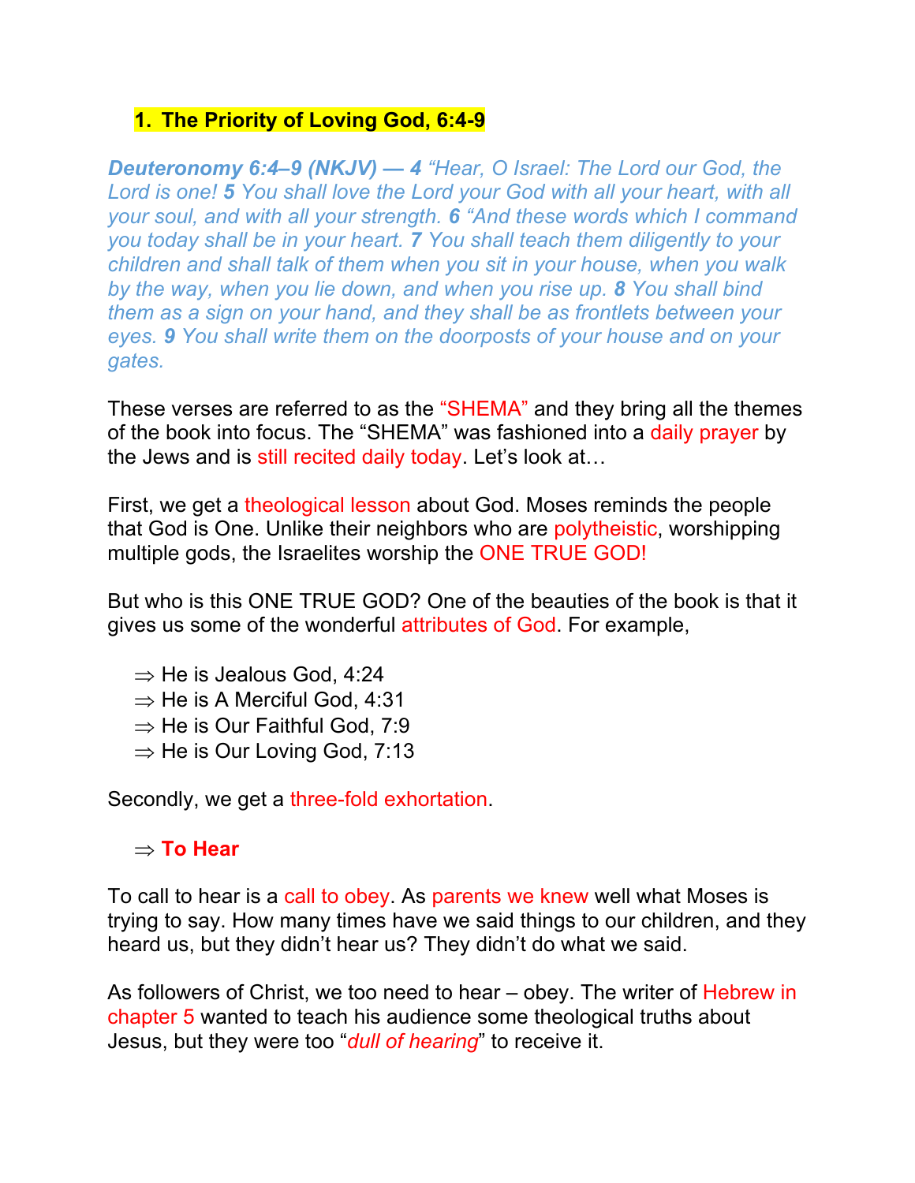#### **1. The Priority of Loving God, 6:4-9**

*Deuteronomy 6:4–9 (NKJV) — 4 "Hear, O Israel: The Lord our God, the Lord is one! 5 You shall love the Lord your God with all your heart, with all your soul, and with all your strength. 6 "And these words which I command you today shall be in your heart. 7 You shall teach them diligently to your children and shall talk of them when you sit in your house, when you walk by the way, when you lie down, and when you rise up. 8 You shall bind them as a sign on your hand, and they shall be as frontlets between your eyes. 9 You shall write them on the doorposts of your house and on your gates.*

These verses are referred to as the "SHEMA" and they bring all the themes of the book into focus. The "SHEMA" was fashioned into a daily prayer by the Jews and is still recited daily today. Let's look at...

First, we get a theological lesson about God. Moses reminds the people that God is One. Unlike their neighbors who are polytheistic, worshipping multiple gods, the Israelites worship the ONE TRUE GOD!

But who is this ONE TRUE GOD? One of the beauties of the book is that it gives us some of the wonderful attributes of God. For example,

 $\Rightarrow$  He is Jealous God, 4:24  $\Rightarrow$  He is A Merciful God, 4:31  $\Rightarrow$  He is Our Faithful God, 7:9  $\Rightarrow$  He is Our Loving God, 7:13

Secondly, we get a three-fold exhortation.

#### $\Rightarrow$  To Hear

To call to hear is a call to obey. As parents we knew well what Moses is trying to say. How many times have we said things to our children, and they heard us, but they didn't hear us? They didn't do what we said.

As followers of Christ, we too need to hear – obey. The writer of Hebrew in chapter 5 wanted to teach his audience some theological truths about Jesus, but they were too "*dull of hearing*" to receive it.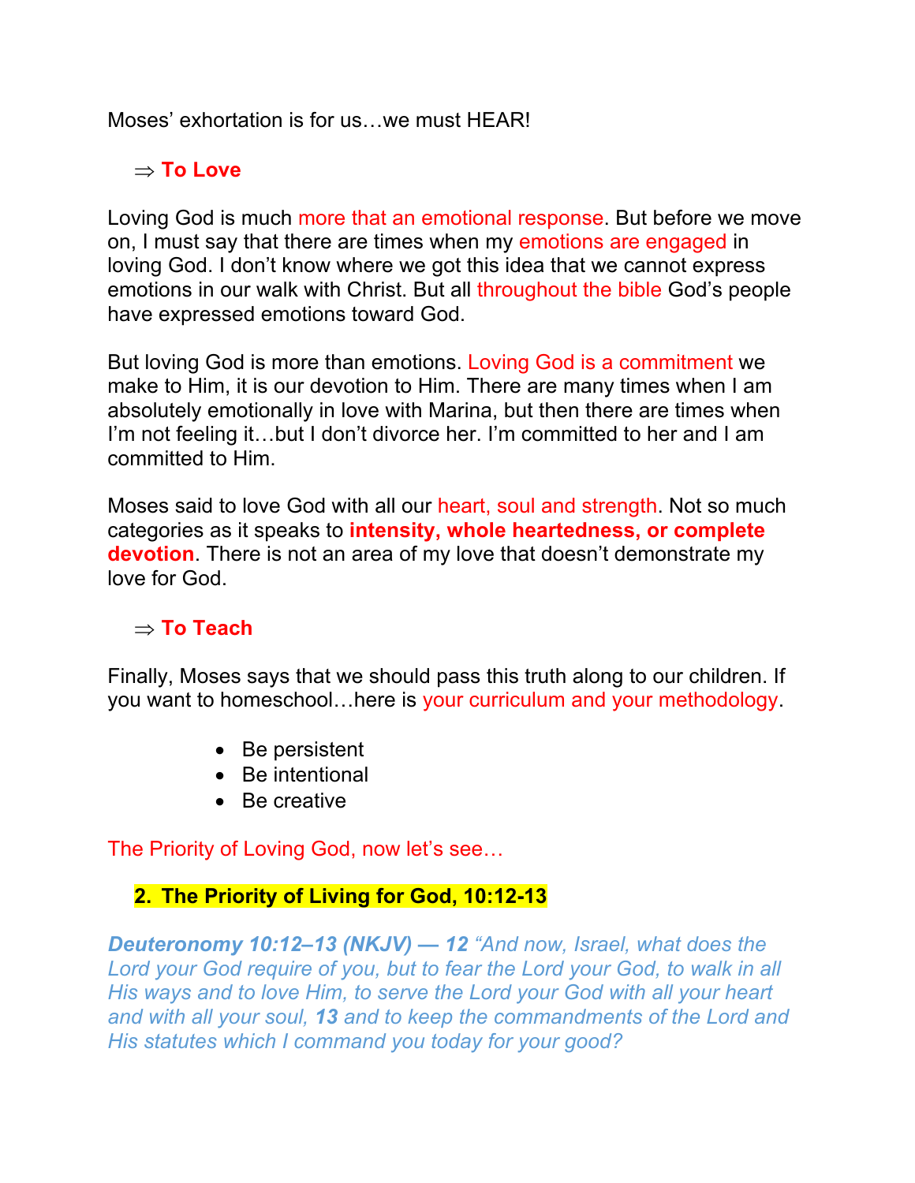Moses' exhortation is for us…we must HEAR!

## $\Rightarrow$  **To Love**

Loving God is much more that an emotional response. But before we move on, I must say that there are times when my emotions are engaged in loving God. I don't know where we got this idea that we cannot express emotions in our walk with Christ. But all throughout the bible God's people have expressed emotions toward God.

But loving God is more than emotions. Loving God is a commitment we make to Him, it is our devotion to Him. There are many times when I am absolutely emotionally in love with Marina, but then there are times when I'm not feeling it…but I don't divorce her. I'm committed to her and I am committed to Him.

Moses said to love God with all our heart, soul and strength. Not so much categories as it speaks to **intensity, whole heartedness, or complete devotion**. There is not an area of my love that doesn't demonstrate my love for God.

## $\Rightarrow$  **To Teach**

Finally, Moses says that we should pass this truth along to our children. If you want to homeschool…here is your curriculum and your methodology.

- Be persistent
- Be intentional
- Be creative

The Priority of Loving God, now let's see…

#### **2. The Priority of Living for God, 10:12-13**

*Deuteronomy 10:12–13 (NKJV) — 12 "And now, Israel, what does the Lord your God require of you, but to fear the Lord your God, to walk in all His ways and to love Him, to serve the Lord your God with all your heart and with all your soul, 13 and to keep the commandments of the Lord and His statutes which I command you today for your good?*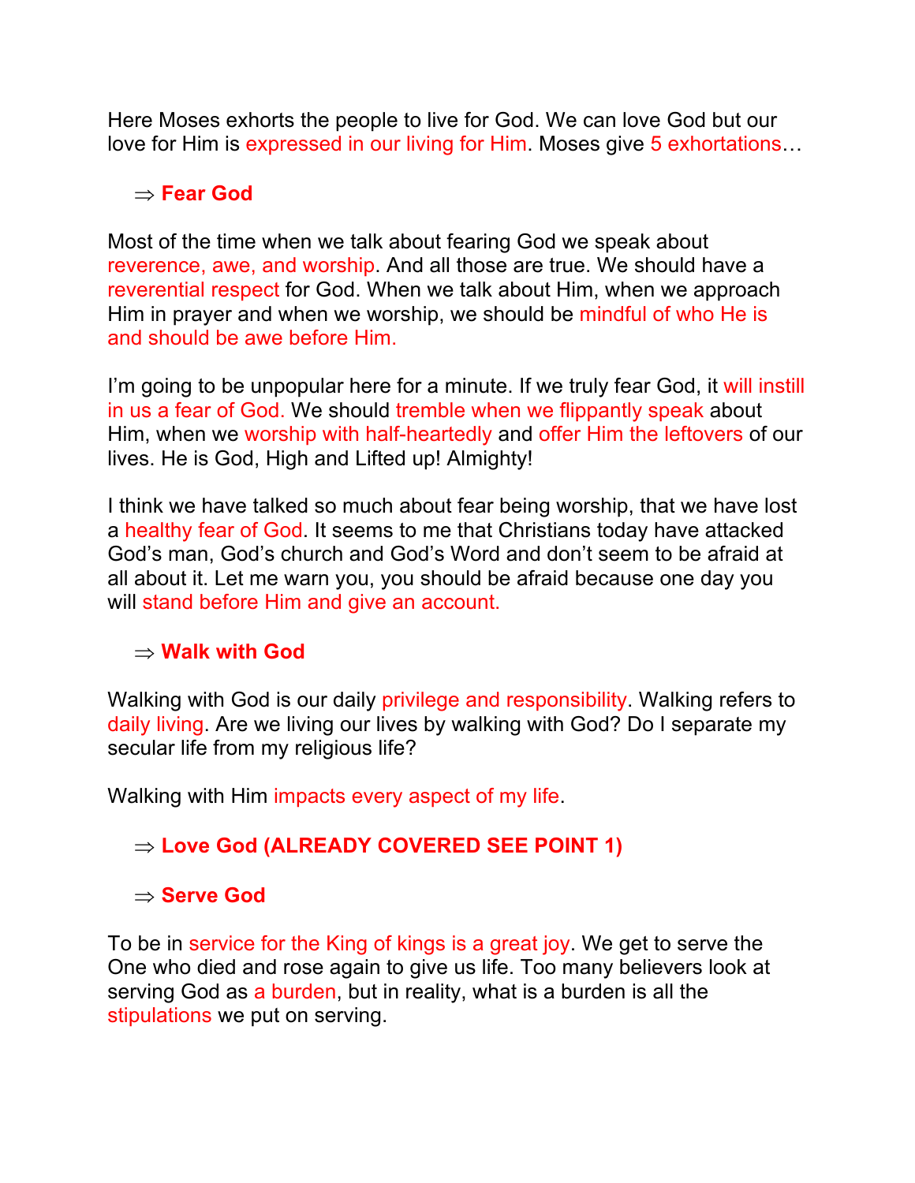Here Moses exhorts the people to live for God. We can love God but our love for Him is expressed in our living for Him. Moses give 5 exhortations…

#### Þ **Fear God**

Most of the time when we talk about fearing God we speak about reverence, awe, and worship. And all those are true. We should have a reverential respect for God. When we talk about Him, when we approach Him in prayer and when we worship, we should be mindful of who He is and should be awe before Him.

I'm going to be unpopular here for a minute. If we truly fear God, it will instill in us a fear of God. We should tremble when we flippantly speak about Him, when we worship with half-heartedly and offer Him the leftovers of our lives. He is God, High and Lifted up! Almighty!

I think we have talked so much about fear being worship, that we have lost a healthy fear of God. It seems to me that Christians today have attacked God's man, God's church and God's Word and don't seem to be afraid at all about it. Let me warn you, you should be afraid because one day you will stand before Him and give an account.

#### $\rightarrow$  Walk with God

Walking with God is our daily privilege and responsibility. Walking refers to daily living. Are we living our lives by walking with God? Do I separate my secular life from my religious life?

Walking with Him impacts every aspect of my life.

## Þ **Love God (ALREADY COVERED SEE POINT 1)**

#### Þ **Serve God**

To be in service for the King of kings is a great joy. We get to serve the One who died and rose again to give us life. Too many believers look at serving God as a burden, but in reality, what is a burden is all the stipulations we put on serving.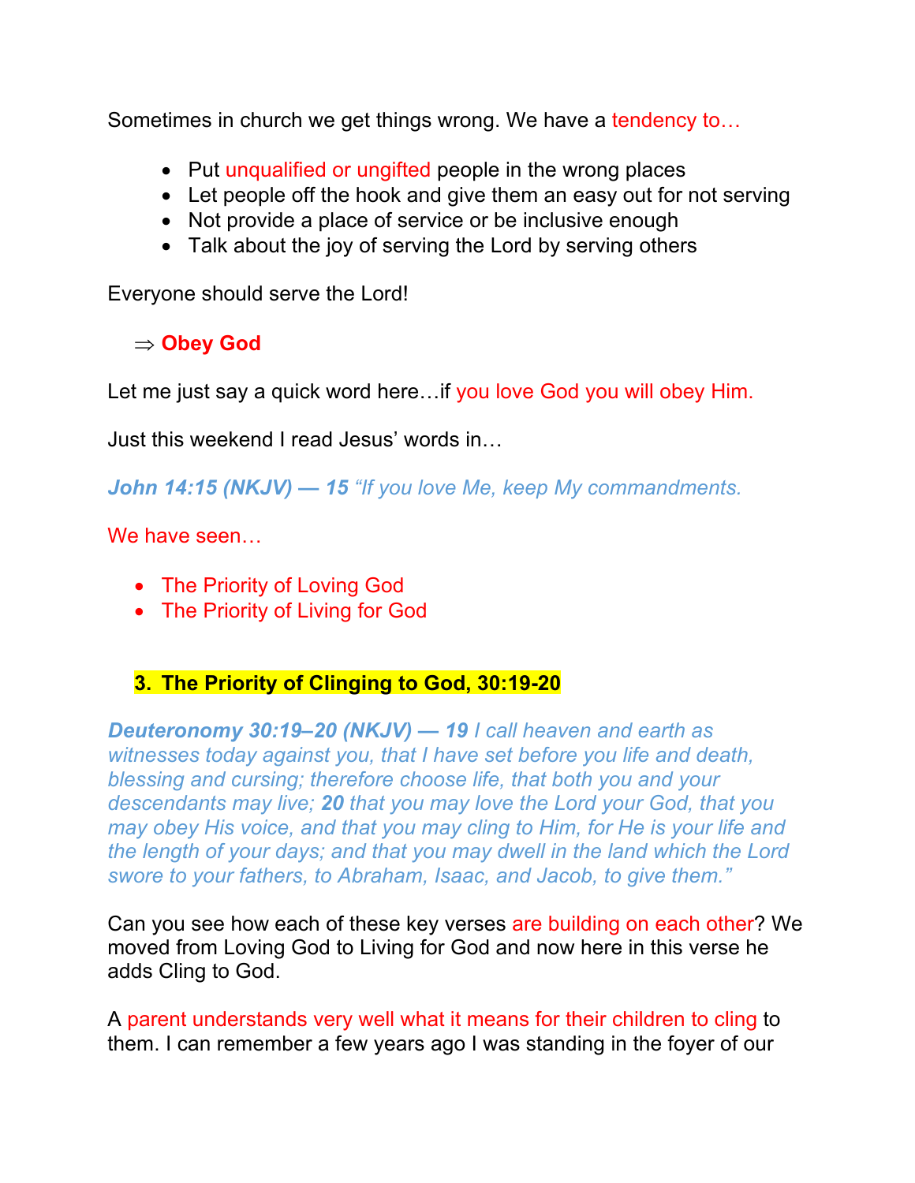Sometimes in church we get things wrong. We have a tendency to…

- Put unqualified or ungifted people in the wrong places
- Let people off the hook and give them an easy out for not serving
- Not provide a place of service or be inclusive enough
- Talk about the joy of serving the Lord by serving others

Everyone should serve the Lord!

## Þ **Obey God**

Let me just say a quick word here... if you love God you will obey Him.

Just this weekend I read Jesus' words in…

*John 14:15 (NKJV) — 15 "If you love Me, keep My commandments.*

We have seen…

- The Priority of Loving God
- The Priority of Living for God

## **3. The Priority of Clinging to God, 30:19-20**

*Deuteronomy 30:19–20 (NKJV) — 19 I call heaven and earth as witnesses today against you, that I have set before you life and death, blessing and cursing; therefore choose life, that both you and your descendants may live; 20 that you may love the Lord your God, that you may obey His voice, and that you may cling to Him, for He is your life and the length of your days; and that you may dwell in the land which the Lord swore to your fathers, to Abraham, Isaac, and Jacob, to give them."*

Can you see how each of these key verses are building on each other? We moved from Loving God to Living for God and now here in this verse he adds Cling to God.

A parent understands very well what it means for their children to cling to them. I can remember a few years ago I was standing in the foyer of our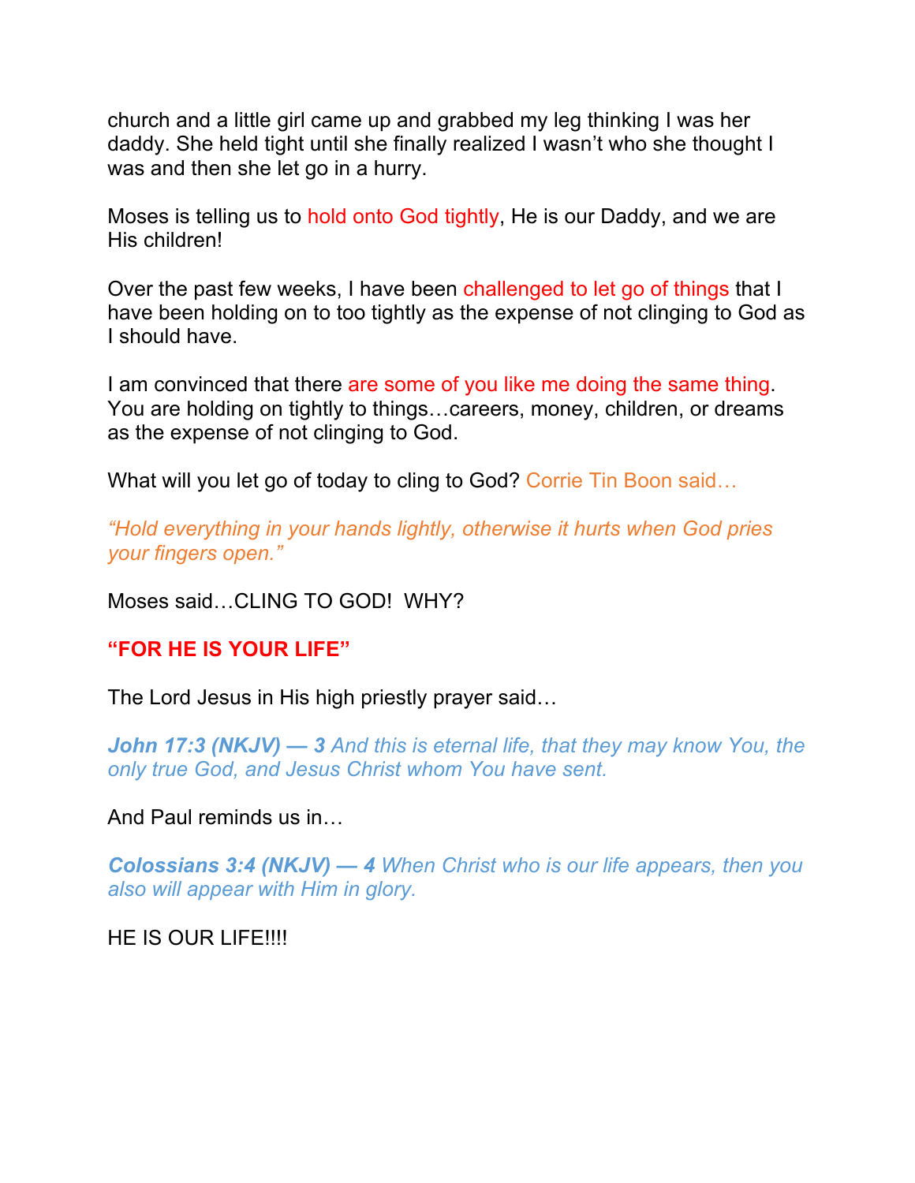church and a little girl came up and grabbed my leg thinking I was her daddy. She held tight until she finally realized I wasn't who she thought I was and then she let go in a hurry.

Moses is telling us to hold onto God tightly, He is our Daddy, and we are His children!

Over the past few weeks, I have been challenged to let go of things that I have been holding on to too tightly as the expense of not clinging to God as I should have.

I am convinced that there are some of you like me doing the same thing. You are holding on tightly to things…careers, money, children, or dreams as the expense of not clinging to God.

What will you let go of today to cling to God? Corrie Tin Boon said...

*"Hold everything in your hands lightly, otherwise it hurts when God pries your fingers open."*

Moses said…CLING TO GOD! WHY?

**"FOR HE IS YOUR LIFE"**

The Lord Jesus in His high priestly prayer said…

*John 17:3 (NKJV) — 3 And this is eternal life, that they may know You, the only true God, and Jesus Christ whom You have sent.*

And Paul reminds us in…

*Colossians 3:4 (NKJV) — 4 When Christ who is our life appears, then you also will appear with Him in glory.*

HE IS OUR LIFE!!!!